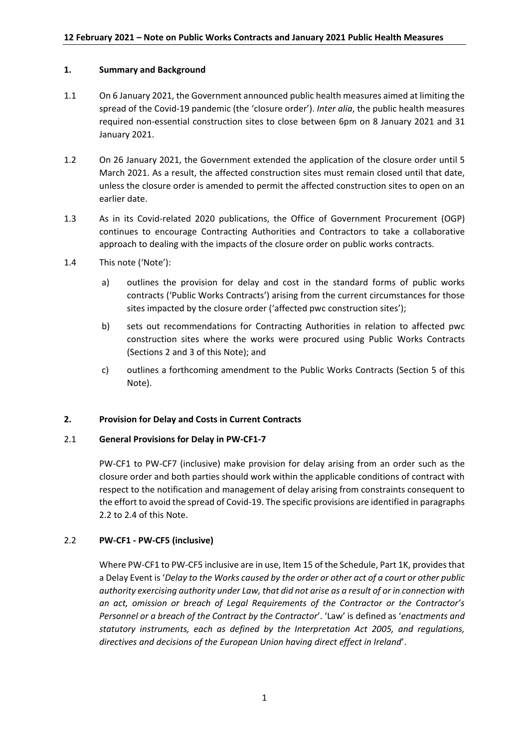## **1. Summary and Background**

- 1.1 On 6 January 2021, the Government announced public health measures aimed at limiting the spread of the Covid-19 pandemic (the 'closure order'). *Inter alia*, the public health measures required non-essential construction sites to close between 6pm on 8 January 2021 and 31 January 2021.
- 1.2 On 26 January 2021, the Government extended the application of the closure order until 5 March 2021. As a result, the affected construction sites must remain closed until that date, unless the closure order is amended to permit the affected construction sites to open on an earlier date.
- 1.3 As in its Covid-related 2020 publications, the Office of Government Procurement (OGP) continues to encourage Contracting Authorities and Contractors to take a collaborative approach to dealing with the impacts of the closure order on public works contracts.
- 1.4 This note ('Note'):
	- a) outlines the provision for delay and cost in the standard forms of public works contracts ('Public Works Contracts') arising from the current circumstances for those sites impacted by the closure order ('affected pwc construction sites');
	- b) sets out recommendations for Contracting Authorities in relation to affected pwc construction sites where the works were procured using Public Works Contracts (Sections 2 and 3 of this Note); and
	- c) outlines a forthcoming amendment to the Public Works Contracts (Section 5 of this Note).

### **2. Provision for Delay and Costs in Current Contracts**

### 2.1 **General Provisions for Delay in PW-CF1-7**

PW-CF1 to PW-CF7 (inclusive) make provision for delay arising from an order such as the closure order and both parties should work within the applicable conditions of contract with respect to the notification and management of delay arising from constraints consequent to the effort to avoid the spread of Covid-19. The specific provisions are identified in paragraphs 2.2 to 2.4 of this Note.

# 2.2 **PW-CF1 - PW-CF5 (inclusive)**

Where PW-CF1 to PW-CF5 inclusive are in use, Item 15 of the Schedule, Part 1K, provides that a Delay Event is '*Delay to the Works caused by the order or other act of a court or other public authority exercising authority under Law, that did not arise as a result of or in connection with an act, omission or breach of Legal Requirements of the Contractor or the Contractor's Personnel or a breach of the Contract by the Contractor*'. 'Law' is defined as '*enactments and statutory instruments, each as defined by the Interpretation Act 2005, and regulations, directives and decisions of the European Union having direct effect in Ireland*'.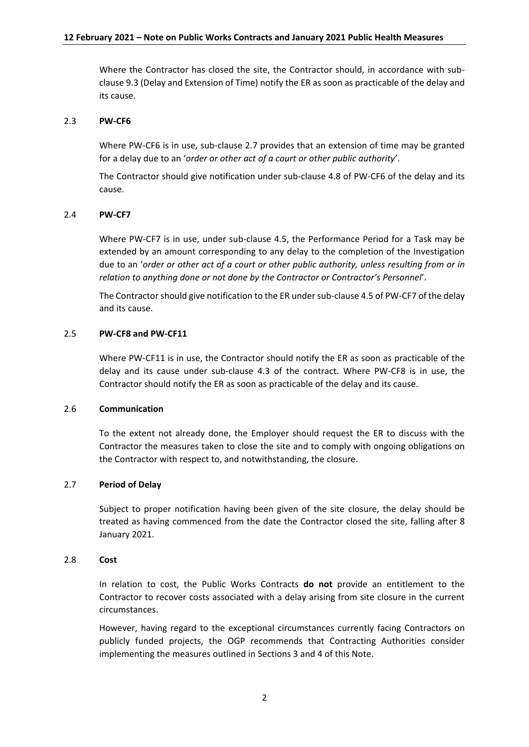Where the Contractor has closed the site, the Contractor should, in accordance with subclause 9.3 (Delay and Extension of Time) notify the ER as soon as practicable of the delay and its cause.

### 2.3 **PW-CF6**

Where PW-CF6 is in use, sub-clause 2.7 provides that an extension of time may be granted for a delay due to an '*order or other act of a court or other public authority*'.

The Contractor should give notification under sub-clause 4.8 of PW-CF6 of the delay and its cause.

### 2.4 **PW-CF7**

Where PW-CF7 is in use, under sub-clause 4.5, the Performance Period for a Task may be extended by an amount corresponding to any delay to the completion of the Investigation due to an '*order or other act of a court or other public authority, unless resulting from or in relation to anything done or not done by the Contractor or Contractor's Personnel*'.

The Contractor should give notification to the ER under sub-clause 4.5 of PW-CF7 of the delay and its cause.

## 2.5 **PW-CF8 and PW-CF11**

Where PW-CF11 is in use, the Contractor should notify the ER as soon as practicable of the delay and its cause under sub-clause 4.3 of the contract. Where PW-CF8 is in use, the Contractor should notify the ER as soon as practicable of the delay and its cause.

#### 2.6 **Communication**

To the extent not already done, the Employer should request the ER to discuss with the Contractor the measures taken to close the site and to comply with ongoing obligations on the Contractor with respect to, and notwithstanding, the closure.

#### 2.7 **Period of Delay**

Subject to proper notification having been given of the site closure, the delay should be treated as having commenced from the date the Contractor closed the site, falling after 8 January 2021.

#### 2.8 **Cost**

In relation to cost, the Public Works Contracts **do not** provide an entitlement to the Contractor to recover costs associated with a delay arising from site closure in the current circumstances.

However, having regard to the exceptional circumstances currently facing Contractors on publicly funded projects, the OGP recommends that Contracting Authorities consider implementing the measures outlined in Sections 3 and 4 of this Note.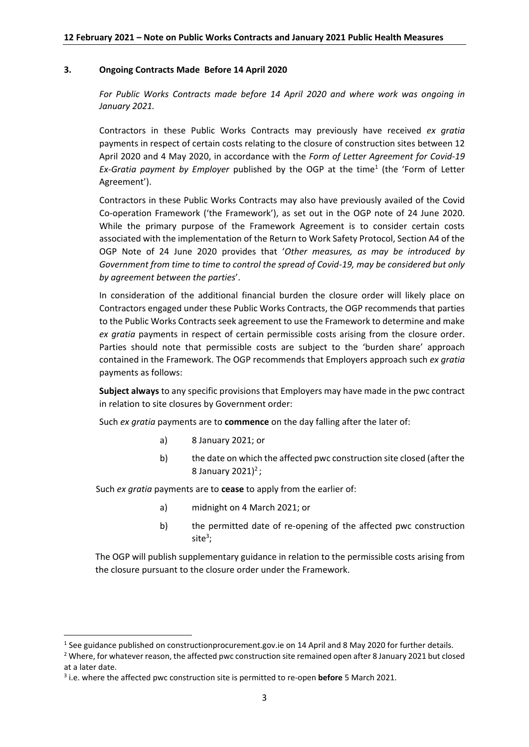### **3. Ongoing Contracts Made Before 14 April 2020**

*For Public Works Contracts made before 14 April 2020 and where work was ongoing in January 2021.*

Contractors in these Public Works Contracts may previously have received *ex gratia* payments in respect of certain costs relating to the closure of construction sites between 12 April 2020 and 4 May 2020, in accordance with the *Form of Letter Agreement for Covid-19*  Ex-Gratia payment by Employer published by the OGP at the time<sup>1</sup> (the 'Form of Letter Agreement').

Contractors in these Public Works Contracts may also have previously availed of the Covid Co-operation Framework ('the Framework'), as set out in the OGP note of 24 June 2020. While the primary purpose of the Framework Agreement is to consider certain costs associated with the implementation of the Return to Work Safety Protocol, Section A4 of the OGP Note of 24 June 2020 provides that '*Other measures, as may be introduced by Government from time to time to control the spread of Covid-19, may be considered but only by agreement between the parties*'.

In consideration of the additional financial burden the closure order will likely place on Contractors engaged under these Public Works Contracts, the OGP recommends that parties to the Public Works Contracts seek agreement to use the Framework to determine and make *ex gratia* payments in respect of certain permissible costs arising from the closure order. Parties should note that permissible costs are subject to the 'burden share' approach contained in the Framework. The OGP recommends that Employers approach such *ex gratia*  payments as follows:

**Subject always** to any specific provisions that Employers may have made in the pwc contract in relation to site closures by Government order:

Such *ex gratia* payments are to **commence** on the day falling after the later of:

- a) 8 January 2021; or
- b) the date on which the affected pwc construction site closed (after the 8 January 2021)<sup>2</sup>;

Such *ex gratia* payments are to **cease** to apply from the earlier of:

- a) midnight on 4 March 2021; or
- b) the permitted date of re-opening of the affected pwc construction site<sup>3</sup>;

The OGP will publish supplementary guidance in relation to the permissible costs arising from the closure pursuant to the closure order under the Framework.

**.** 

<sup>&</sup>lt;sup>1</sup> See guidance published on constructionprocurement.gov.ie on 14 April and 8 May 2020 for further details.

<sup>&</sup>lt;sup>2</sup> Where, for whatever reason, the affected pwc construction site remained open after 8 January 2021 but closed at a later date.

<sup>3</sup> i.e. where the affected pwc construction site is permitted to re-open **before** 5 March 2021.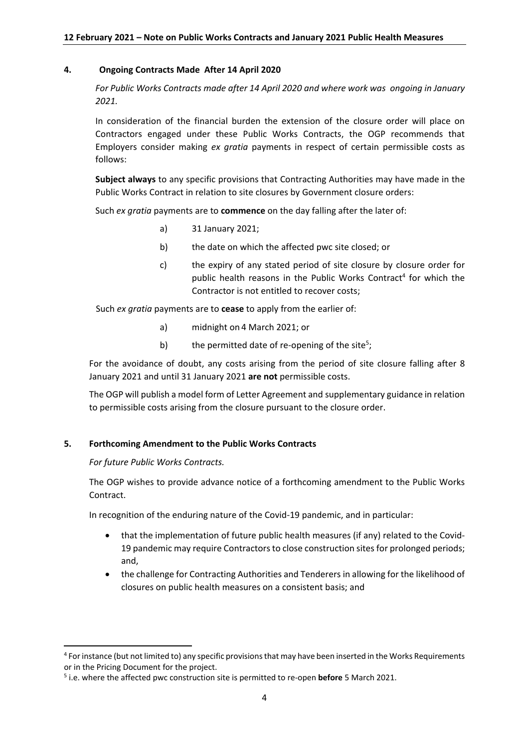## **4. Ongoing Contracts Made After 14 April 2020**

*For Public Works Contracts made after 14 April 2020 and where work was ongoing in January 2021.*

In consideration of the financial burden the extension of the closure order will place on Contractors engaged under these Public Works Contracts, the OGP recommends that Employers consider making *ex gratia* payments in respect of certain permissible costs as follows:

**Subject always** to any specific provisions that Contracting Authorities may have made in the Public Works Contract in relation to site closures by Government closure orders:

Such *ex gratia* payments are to **commence** on the day falling after the later of:

- a) 31 January 2021;
- b) the date on which the affected pwc site closed; or
- c) the expiry of any stated period of site closure by closure order for public health reasons in the Public Works Contract<sup>4</sup> for which the Contractor is not entitled to recover costs;

Such *ex gratia* payments are to **cease** to apply from the earlier of:

- a) midnight on 4 March 2021; or
- b) the permitted date of re-opening of the site<sup>5</sup>;

For the avoidance of doubt, any costs arising from the period of site closure falling after 8 January 2021 and until 31 January 2021 **are not** permissible costs.

The OGP will publish a model form of Letter Agreement and supplementary guidance in relation to permissible costs arising from the closure pursuant to the closure order.

# **5. Forthcoming Amendment to the Public Works Contracts**

*For future Public Works Contracts.*

**.** 

The OGP wishes to provide advance notice of a forthcoming amendment to the Public Works Contract.

In recognition of the enduring nature of the Covid-19 pandemic, and in particular:

- that the implementation of future public health measures (if any) related to the Covid-19 pandemic may require Contractors to close construction sites for prolonged periods; and,
- the challenge for Contracting Authorities and Tenderers in allowing for the likelihood of closures on public health measures on a consistent basis; and

<sup>&</sup>lt;sup>4</sup> For instance (but not limited to) any specific provisions that may have been inserted in the Works Requirements or in the Pricing Document for the project.

<sup>5</sup> i.e. where the affected pwc construction site is permitted to re-open **before** 5 March 2021.